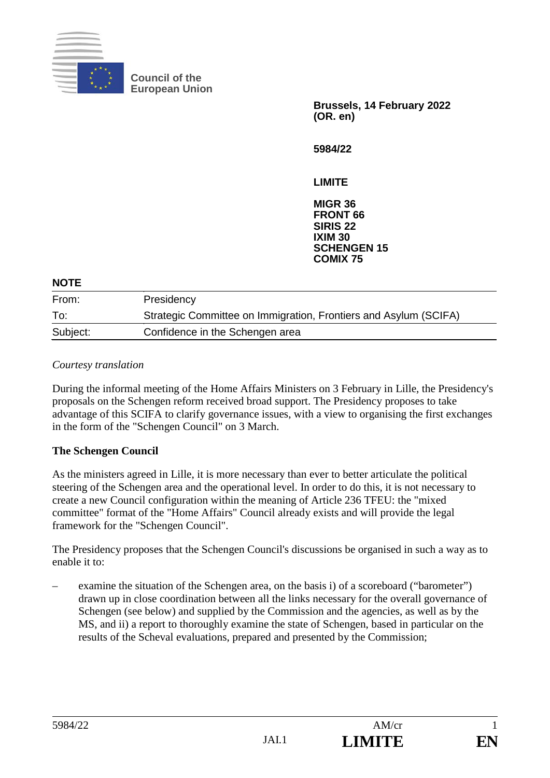

**Council of the European Union**

> **Brussels, 14 February 2022 (OR. en)**

**5984/22**

**LIMITE**

**MIGR 36 FRONT 66 SIRIS 22 IXIM 30 SCHENGEN 15 COMIX 75**

| <b>NOTE</b> |                                                                  |  |
|-------------|------------------------------------------------------------------|--|
| From:       | Presidency                                                       |  |
| To:         | Strategic Committee on Immigration, Frontiers and Asylum (SCIFA) |  |
| Subject:    | Confidence in the Schengen area                                  |  |

### *Courtesy translation*

During the informal meeting of the Home Affairs Ministers on 3 February in Lille, the Presidency's proposals on the Schengen reform received broad support. The Presidency proposes to take advantage of this SCIFA to clarify governance issues, with a view to organising the first exchanges in the form of the "Schengen Council" on 3 March.

### **The Schengen Council**

As the ministers agreed in Lille, it is more necessary than ever to better articulate the political steering of the Schengen area and the operational level. In order to do this, it is not necessary to create a new Council configuration within the meaning of Article 236 TFEU: the "mixed committee" format of the "Home Affairs" Council already exists and will provide the legal framework for the "Schengen Council".

The Presidency proposes that the Schengen Council's discussions be organised in such a way as to enable it to:

– examine the situation of the Schengen area, on the basis i) of a scoreboard ("barometer") drawn up in close coordination between all the links necessary for the overall governance of Schengen (see below) and supplied by the Commission and the agencies, as well as by the MS, and ii) a report to thoroughly examine the state of Schengen, based in particular on the results of the Scheval evaluations, prepared and presented by the Commission;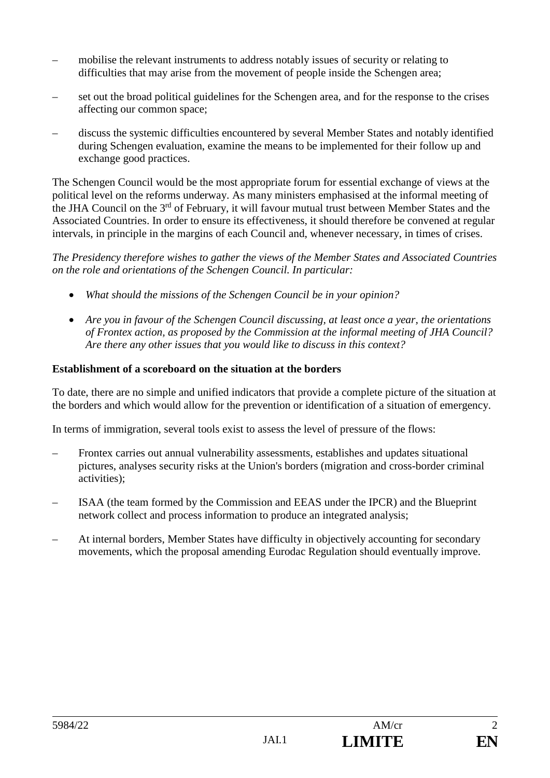- mobilise the relevant instruments to address notably issues of security or relating to difficulties that may arise from the movement of people inside the Schengen area;
- set out the broad political guidelines for the Schengen area, and for the response to the crises affecting our common space;
- discuss the systemic difficulties encountered by several Member States and notably identified during Schengen evaluation, examine the means to be implemented for their follow up and exchange good practices.

The Schengen Council would be the most appropriate forum for essential exchange of views at the political level on the reforms underway. As many ministers emphasised at the informal meeting of the JHA Council on the 3<sup>rd</sup> of February, it will favour mutual trust between Member States and the Associated Countries. In order to ensure its effectiveness, it should therefore be convened at regular intervals, in principle in the margins of each Council and, whenever necessary, in times of crises.

*The Presidency therefore wishes to gather the views of the Member States and Associated Countries on the role and orientations of the Schengen Council. In particular:* 

- *What should the missions of the Schengen Council be in your opinion?*
- *Are you in favour of the Schengen Council discussing, at least once a year, the orientations of Frontex action, as proposed by the Commission at the informal meeting of JHA Council? Are there any other issues that you would like to discuss in this context?*

# **Establishment of a scoreboard on the situation at the borders**

To date, there are no simple and unified indicators that provide a complete picture of the situation at the borders and which would allow for the prevention or identification of a situation of emergency.

In terms of immigration, several tools exist to assess the level of pressure of the flows:

- Frontex carries out annual vulnerability assessments, establishes and updates situational pictures, analyses security risks at the Union's borders (migration and cross-border criminal activities);
- ISAA (the team formed by the Commission and EEAS under the IPCR) and the Blueprint network collect and process information to produce an integrated analysis;
- At internal borders, Member States have difficulty in objectively accounting for secondary movements, which the proposal amending Eurodac Regulation should eventually improve.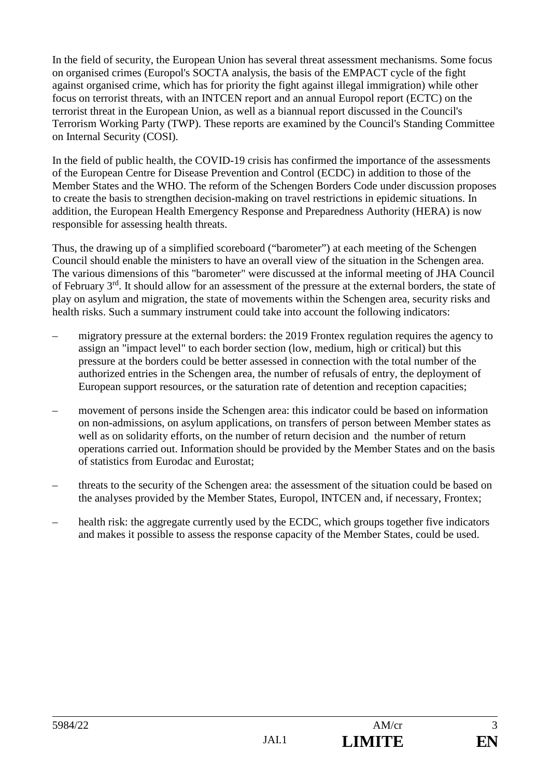In the field of security, the European Union has several threat assessment mechanisms. Some focus on organised crimes (Europol's SOCTA analysis, the basis of the EMPACT cycle of the fight against organised crime, which has for priority the fight against illegal immigration) while other focus on terrorist threats, with an INTCEN report and an annual Europol report (ECTC) on the terrorist threat in the European Union, as well as a biannual report discussed in the Council's Terrorism Working Party (TWP). These reports are examined by the Council's Standing Committee on Internal Security (COSI).

In the field of public health, the COVID-19 crisis has confirmed the importance of the assessments of the European Centre for Disease Prevention and Control (ECDC) in addition to those of the Member States and the WHO. The reform of the Schengen Borders Code under discussion proposes to create the basis to strengthen decision-making on travel restrictions in epidemic situations. In addition, the European Health Emergency Response and Preparedness Authority (HERA) is now responsible for assessing health threats.

Thus, the drawing up of a simplified scoreboard ("barometer") at each meeting of the Schengen Council should enable the ministers to have an overall view of the situation in the Schengen area. The various dimensions of this "barometer" were discussed at the informal meeting of JHA Council of February 3rd. It should allow for an assessment of the pressure at the external borders, the state of play on asylum and migration, the state of movements within the Schengen area, security risks and health risks. Such a summary instrument could take into account the following indicators:

- migratory pressure at the external borders: the 2019 Frontex regulation requires the agency to assign an "impact level" to each border section (low, medium, high or critical) but this pressure at the borders could be better assessed in connection with the total number of the authorized entries in the Schengen area, the number of refusals of entry, the deployment of European support resources, or the saturation rate of detention and reception capacities;
- movement of persons inside the Schengen area: this indicator could be based on information on non-admissions, on asylum applications, on transfers of person between Member states as well as on solidarity efforts, on the number of return decision and the number of return operations carried out. Information should be provided by the Member States and on the basis of statistics from Eurodac and Eurostat;
- threats to the security of the Schengen area: the assessment of the situation could be based on the analyses provided by the Member States, Europol, INTCEN and, if necessary, Frontex;
- health risk: the aggregate currently used by the ECDC, which groups together five indicators and makes it possible to assess the response capacity of the Member States, could be used.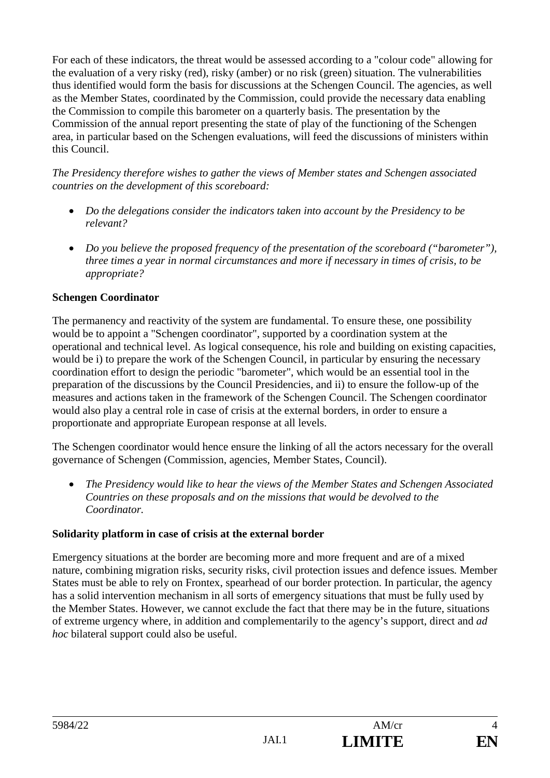For each of these indicators, the threat would be assessed according to a "colour code" allowing for the evaluation of a very risky (red), risky (amber) or no risk (green) situation. The vulnerabilities thus identified would form the basis for discussions at the Schengen Council. The agencies, as well as the Member States, coordinated by the Commission, could provide the necessary data enabling the Commission to compile this barometer on a quarterly basis. The presentation by the Commission of the annual report presenting the state of play of the functioning of the Schengen area, in particular based on the Schengen evaluations, will feed the discussions of ministers within this Council.

*The Presidency therefore wishes to gather the views of Member states and Schengen associated countries on the development of this scoreboard:* 

- *Do the delegations consider the indicators taken into account by the Presidency to be relevant?*
- *Do you believe the proposed frequency of the presentation of the scoreboard ("barometer"), three times a year in normal circumstances and more if necessary in times of crisis, to be appropriate?*

# **Schengen Coordinator**

The permanency and reactivity of the system are fundamental. To ensure these, one possibility would be to appoint a "Schengen coordinator", supported by a coordination system at the operational and technical level. As logical consequence, his role and building on existing capacities, would be i) to prepare the work of the Schengen Council, in particular by ensuring the necessary coordination effort to design the periodic "barometer", which would be an essential tool in the preparation of the discussions by the Council Presidencies, and ii) to ensure the follow-up of the measures and actions taken in the framework of the Schengen Council. The Schengen coordinator would also play a central role in case of crisis at the external borders, in order to ensure a proportionate and appropriate European response at all levels.

The Schengen coordinator would hence ensure the linking of all the actors necessary for the overall governance of Schengen (Commission, agencies, Member States, Council).

• *The Presidency would like to hear the views of the Member States and Schengen Associated Countries on these proposals and on the missions that would be devolved to the Coordinator.* 

## **Solidarity platform in case of crisis at the external border**

Emergency situations at the border are becoming more and more frequent and are of a mixed nature, combining migration risks, security risks, civil protection issues and defence issues*.* Member States must be able to rely on Frontex, spearhead of our border protection. In particular, the agency has a solid intervention mechanism in all sorts of emergency situations that must be fully used by the Member States. However, we cannot exclude the fact that there may be in the future, situations of extreme urgency where, in addition and complementarily to the agency's support, direct and *ad hoc* bilateral support could also be useful.